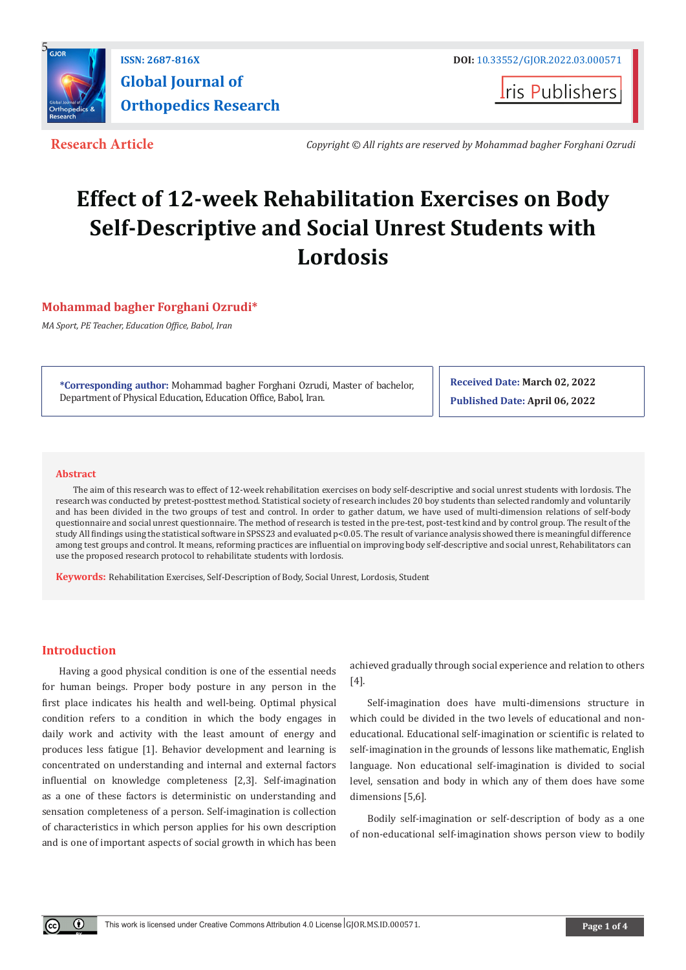

**Global Journal of Orthopedics Research**

**ISSN: 2687-816X** DOI: [10.33552/GJOR.2022.03.000571](http://dx.doi.org/10.33552/GJOR.2022.03.000571)

**Iris Publishers** 

**Research Article** *Copyright © All rights are reserved by Mohammad bagher Forghani Ozrudi*

# **Effect of 12-week Rehabilitation Exercises on Body Self-Descriptive and Social Unrest Students with Lordosis**

**Mohammad bagher Forghani Ozrudi\***

*MA Sport, PE Teacher, Education Office, Babol, Iran*

**\*Corresponding author:** Mohammad bagher Forghani Ozrudi, Master of bachelor, Department of Physical Education, Education Office, Babol, Iran.

**Received Date: March 02, 2022 Published Date: April 06, 2022**

#### **Abstract**

The aim of this research was to effect of 12-week rehabilitation exercises on body self-descriptive and social unrest students with lordosis. The research was conducted by pretest-posttest method. Statistical society of research includes 20 boy students than selected randomly and voluntarily and has been divided in the two groups of test and control. In order to gather datum, we have used of multi-dimension relations of self-body questionnaire and social unrest questionnaire. The method of research is tested in the pre-test, post-test kind and by control group. The result of the study All findings using the statistical software in SPSS23 and evaluated p<0.05. The result of variance analysis showed there is meaningful difference among test groups and control. It means, reforming practices are influential on improving body self-descriptive and social unrest, Rehabilitators can use the proposed research protocol to rehabilitate students with lordosis.

**Keywords:** Rehabilitation Exercises, Self-Description of Body, Social Unrest, Lordosis, Student

# **Introduction**

 $^{\circ}$ 

Having a good physical condition is one of the essential needs for human beings. Proper body posture in any person in the first place indicates his health and well-being. Optimal physical condition refers to a condition in which the body engages in daily work and activity with the least amount of energy and produces less fatigue [1]. Behavior development and learning is concentrated on understanding and internal and external factors influential on knowledge completeness [2,3]. Self-imagination as a one of these factors is deterministic on understanding and sensation completeness of a person. Self-imagination is collection of characteristics in which person applies for his own description and is one of important aspects of social growth in which has been achieved gradually through social experience and relation to others [4].

Self-imagination does have multi-dimensions structure in which could be divided in the two levels of educational and noneducational. Educational self-imagination or scientific is related to self-imagination in the grounds of lessons like mathematic, English language. Non educational self-imagination is divided to social level, sensation and body in which any of them does have some dimensions [5,6].

Bodily self-imagination or self-description of body as a one of non-educational self-imagination shows person view to bodily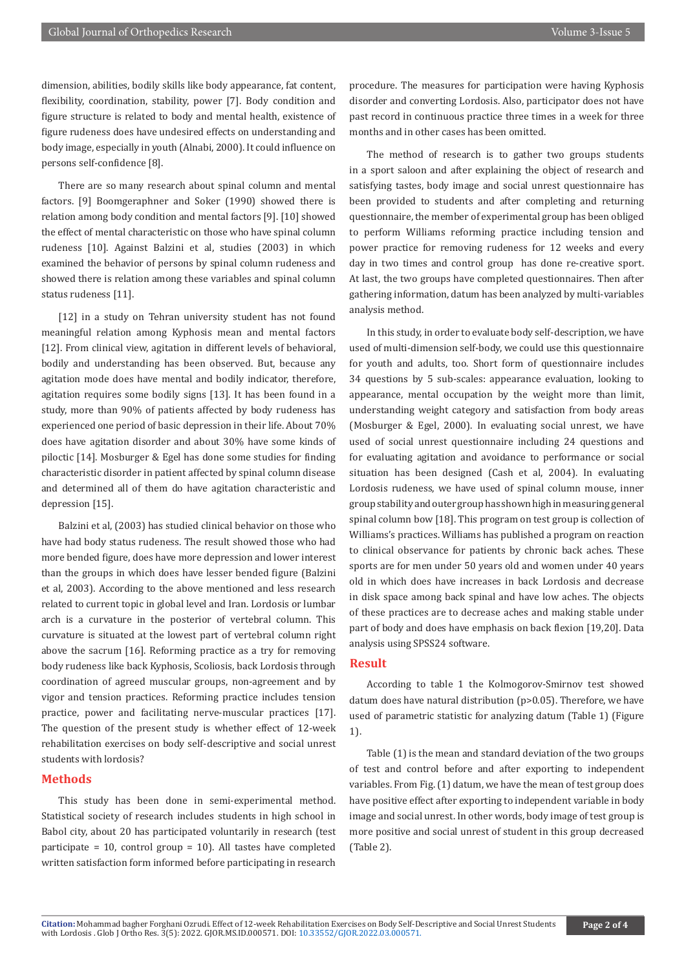dimension, abilities, bodily skills like body appearance, fat content, flexibility, coordination, stability, power [7]. Body condition and figure structure is related to body and mental health, existence of figure rudeness does have undesired effects on understanding and body image, especially in youth (Alnabi, 2000). It could influence on persons self-confidence [8].

There are so many research about spinal column and mental factors. [9] Boomgeraphner and Soker (1990) showed there is relation among body condition and mental factors [9]. [10] showed the effect of mental characteristic on those who have spinal column rudeness [10]. Against Balzini et al, studies (2003) in which examined the behavior of persons by spinal column rudeness and showed there is relation among these variables and spinal column status rudeness [11].

[12] in a study on Tehran university student has not found meaningful relation among Kyphosis mean and mental factors [12]. From clinical view, agitation in different levels of behavioral, bodily and understanding has been observed. But, because any agitation mode does have mental and bodily indicator, therefore, agitation requires some bodily signs [13]. It has been found in a study, more than 90% of patients affected by body rudeness has experienced one period of basic depression in their life. About 70% does have agitation disorder and about 30% have some kinds of piloctic [14]. Mosburger & Egel has done some studies for finding characteristic disorder in patient affected by spinal column disease and determined all of them do have agitation characteristic and depression [15].

Balzini et al, (2003) has studied clinical behavior on those who have had body status rudeness. The result showed those who had more bended figure, does have more depression and lower interest than the groups in which does have lesser bended figure (Balzini et al, 2003). According to the above mentioned and less research related to current topic in global level and Iran. Lordosis or lumbar arch is a curvature in the posterior of vertebral column. This curvature is situated at the lowest part of vertebral column right above the sacrum [16]. Reforming practice as a try for removing body rudeness like back Kyphosis, Scoliosis, back Lordosis through coordination of agreed muscular groups, non-agreement and by vigor and tension practices. Reforming practice includes tension practice, power and facilitating nerve-muscular practices [17]. The question of the present study is whether effect of 12-week rehabilitation exercises on body self-descriptive and social unrest students with lordosis?

## **Methods**

This study has been done in semi-experimental method. Statistical society of research includes students in high school in Babol city, about 20 has participated voluntarily in research (test participate = 10, control group = 10). All tastes have completed written satisfaction form informed before participating in research

procedure. The measures for participation were having Kyphosis disorder and converting Lordosis. Also, participator does not have past record in continuous practice three times in a week for three months and in other cases has been omitted.

The method of research is to gather two groups students in a sport saloon and after explaining the object of research and satisfying tastes, body image and social unrest questionnaire has been provided to students and after completing and returning questionnaire, the member of experimental group has been obliged to perform Williams reforming practice including tension and power practice for removing rudeness for 12 weeks and every day in two times and control group has done re-creative sport. At last, the two groups have completed questionnaires. Then after gathering information, datum has been analyzed by multi-variables analysis method.

In this study, in order to evaluate body self-description, we have used of multi-dimension self-body, we could use this questionnaire for youth and adults, too. Short form of questionnaire includes 34 questions by 5 sub-scales: appearance evaluation, looking to appearance, mental occupation by the weight more than limit, understanding weight category and satisfaction from body areas (Mosburger & Egel, 2000). In evaluating social unrest, we have used of social unrest questionnaire including 24 questions and for evaluating agitation and avoidance to performance or social situation has been designed (Cash et al, 2004). In evaluating Lordosis rudeness, we have used of spinal column mouse, inner group stability and outer group has shown high in measuring general spinal column bow [18]. This program on test group is collection of Williams's practices. Williams has published a program on reaction to clinical observance for patients by chronic back aches. These sports are for men under 50 years old and women under 40 years old in which does have increases in back Lordosis and decrease in disk space among back spinal and have low aches. The objects of these practices are to decrease aches and making stable under part of body and does have emphasis on back flexion [19,20]. Data analysis using SPSS24 software.

# **Result**

According to table 1 the Kolmogorov-Smirnov test showed datum does have natural distribution (p>0.05). Therefore, we have used of parametric statistic for analyzing datum (Table 1) (Figure 1).

Table (1) is the mean and standard deviation of the two groups of test and control before and after exporting to independent variables. From Fig. (1) datum, we have the mean of test group does have positive effect after exporting to independent variable in body image and social unrest. In other words, body image of test group is more positive and social unrest of student in this group decreased (Table 2).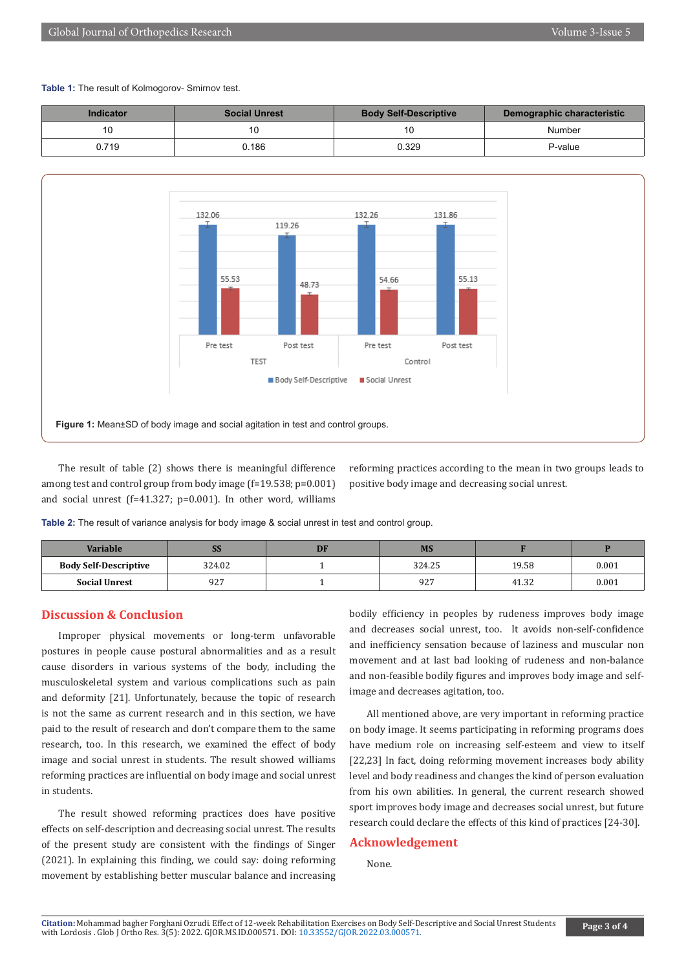#### **Table 1:** The result of Kolmogorov- Smirnov test.

| Indicator | <b>Social Unrest</b> | <b>Body Self-Descriptive</b> | Demographic characteristic |  |
|-----------|----------------------|------------------------------|----------------------------|--|
| 10        |                      |                              | Number                     |  |
| 0.719     | 0.186                | 0.329                        | P-value                    |  |



The result of table (2) shows there is meaningful difference among test and control group from body image (f=19.538; p=0.001) and social unrest (f=41.327; p=0.001). In other word, williams reforming practices according to the mean in two groups leads to positive body image and decreasing social unrest.

**Table 2:** The result of variance analysis for body image & social unrest in test and control group.

| Variable                     | <b>DO</b> | DF | <b>MS</b> |       |       |
|------------------------------|-----------|----|-----------|-------|-------|
| <b>Body Self-Descriptive</b> | 324.02    |    | 324.25    | 19.58 | 0.001 |
| <b>Social Unrest</b>         | 927       |    | 927       | 41.32 | 0.001 |

## **Discussion & Conclusion**

Improper physical movements or long-term unfavorable postures in people cause postural abnormalities and as a result cause disorders in various systems of the body, including the musculoskeletal system and various complications such as pain and deformity [21]. Unfortunately, because the topic of research is not the same as current research and in this section, we have paid to the result of research and don't compare them to the same research, too. In this research, we examined the effect of body image and social unrest in students. The result showed williams reforming practices are influential on body image and social unrest in students.

The result showed reforming practices does have positive effects on self-description and decreasing social unrest. The results of the present study are consistent with the findings of Singer (2021). In explaining this finding, we could say: doing reforming movement by establishing better muscular balance and increasing bodily efficiency in peoples by rudeness improves body image and decreases social unrest, too. It avoids non-self-confidence and inefficiency sensation because of laziness and muscular non movement and at last bad looking of rudeness and non-balance and non-feasible bodily figures and improves body image and selfimage and decreases agitation, too.

All mentioned above, are very important in reforming practice on body image. It seems participating in reforming programs does have medium role on increasing self-esteem and view to itself [22,23] In fact, doing reforming movement increases body ability level and body readiness and changes the kind of person evaluation from his own abilities. In general, the current research showed sport improves body image and decreases social unrest, but future research could declare the effects of this kind of practices [24-30].

### **Acknowledgement**

None.